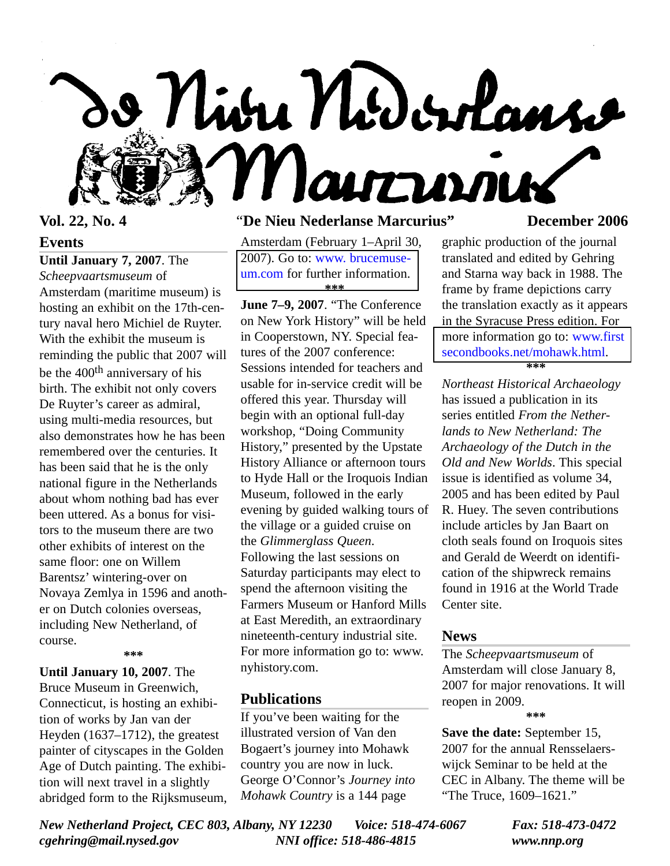

**Events**

**Until January 7, 2007**. The

*Scheepvaartsmuseum* of Amsterdam (maritime museum) is hosting an exhibit on the 17th-century naval hero Michiel de Ruyter. With the exhibit the museum is reminding the public that 2007 will be the 400th anniversary of his birth. The exhibit not only covers De Ruyter's career as admiral, using multi-media resources, but also demonstrates how he has been remembered over the centuries. It has been said that he is the only national figure in the Netherlands about whom nothing bad has ever been uttered. As a bonus for visitors to the museum there are two other exhibits of interest on the same floor: one on Willem Barentsz' wintering-over on Novaya Zemlya in 1596 and another on Dutch colonies overseas, including New Netherland, of course.

**\*\*\***

**Until January 10, 2007**. The Bruce Museum in Greenwich, Connecticut, is hosting an exhibition of works by Jan van der Heyden (1637–1712), the greatest painter of cityscapes in the Golden Age of Dutch painting. The exhibition will next travel in a slightly abridged form to the Rijksmuseum,

# **Vol. 22, No. 4** "**De Nieu Nederlanse Marcurius" December 2006**

Amsterdam (February 1–April 30, [2007\). Go to: www. brucemuse](http://www.brucemuseum.org)um.com for further information. **\*\*\***

**June 7–9, 2007**. "The Conference on New York History" will be held in Cooperstown, NY. Special features of the 2007 conference: Sessions intended for teachers and usable for in-service credit will be offered this year. Thursday will begin with an optional full-day workshop, "Doing Community History," presented by the Upstate History Alliance or afternoon tours to Hyde Hall or the Iroquois Indian Museum, followed in the early evening by guided walking tours of the village or a guided cruise on the *Glimmerglass Queen*. Following the last sessions on Saturday participants may elect to spend the afternoon visiting the Farmers Museum or Hanford Mills at East Meredith, an extraordinary nineteenth-century industrial site. For more information go to: www. nyhistory.com.

#### **Publications**

If you've been waiting for the illustrated version of Van den Bogaert's journey into Mohawk country you are now in luck. George O'Connor's *Journey into Mohawk Country* is a 144 page

graphic production of the journal translated and edited by Gehring and Starna way back in 1988. The frame by frame depictions carry the translation exactly as it appears in the Syracuse Press edition. For [more information go to: www.first](http://www/firstsecondbooks.net/mohawk.html) secondbooks.net/mohawk.html. **\*\*\***

*Northeast Historical Archaeology* has issued a publication in its series entitled *From the Netherlands to New Netherland: The Archaeology of the Dutch in the Old and New Worlds*. This special issue is identified as volume 34, 2005 and has been edited by Paul R. Huey. The seven contributions include articles by Jan Baart on cloth seals found on Iroquois sites and Gerald de Weerdt on identification of the shipwreck remains found in 1916 at the World Trade Center site.

#### **News**

The *Scheepvaartsmuseum* of Amsterdam will close January 8, 2007 for major renovations. It will reopen in 2009.

**\*\*\***

**Save the date:** September 15, 2007 for the annual Rensselaerswijck Seminar to be held at the CEC in Albany. The theme will be "The Truce, 1609–1621."

*New Netherland Project, CEC 803, Albany, NY 12230 Voice: 518-474-6067 Fax: 518-473-0472 cgehring@mail.nysed.gov NNI office: 518-486-4815 www.nnp.org*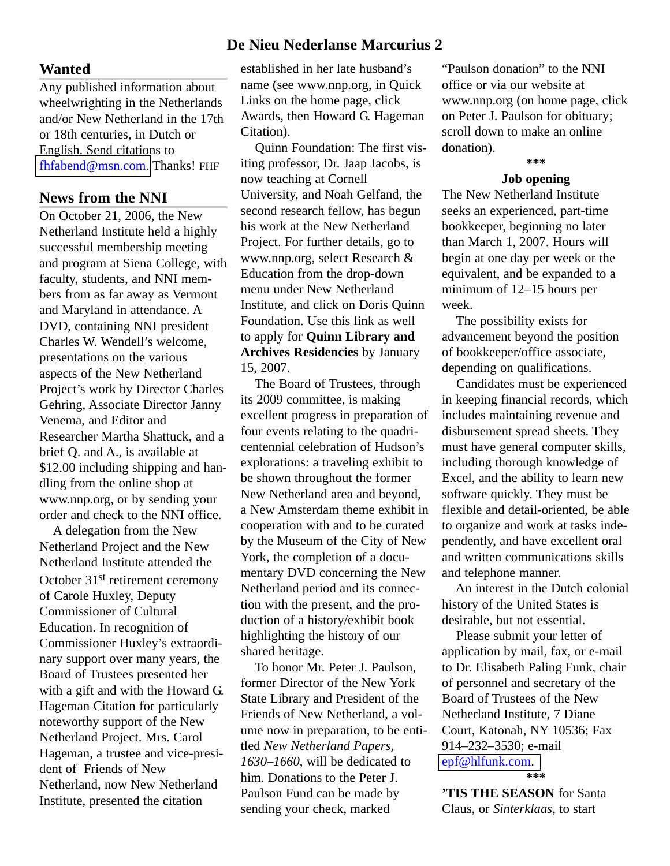#### **Wanted**

Any published information about wheelwrighting in the Netherlands and/or New Netherland in the 17th or 18th centuries, in Dutch or English. Send citations to [fhfabend@msn.com.](mailto:fhfabend@msn.com) Thanks! FHF

## **News from the NNI**

On October 21, 2006, the New Netherland Institute held a highly successful membership meeting and program at Siena College, with faculty, students, and NNI members from as far away as Vermont and Maryland in attendance. A DVD, containing NNI president Charles W. Wendell's welcome, presentations on the various aspects of the New Netherland Project's work by Director Charles Gehring, Associate Director Janny Venema, and Editor and Researcher Martha Shattuck, and a brief Q. and A., is available at \$12.00 including shipping and handling from the online shop at www.nnp.org, or by sending your order and check to the NNI office.

A delegation from the New Netherland Project and the New Netherland Institute attended the October 31st retirement ceremony of Carole Huxley, Deputy Commissioner of Cultural Education. In recognition of Commissioner Huxley's extraordinary support over many years, the Board of Trustees presented her with a gift and with the Howard G. Hageman Citation for particularly noteworthy support of the New Netherland Project. Mrs. Carol Hageman, a trustee and vice-president of Friends of New Netherland, now New Netherland Institute, presented the citation

# **De Nieu Nederlanse Marcurius 2**

established in her late husband's name (see www.nnp.org, in Quick Links on the home page, click Awards, then Howard G. Hageman Citation).

Quinn Foundation: The first visiting professor, Dr. Jaap Jacobs, is now teaching at Cornell University, and Noah Gelfand, the second research fellow, has begun his work at the New Netherland Project. For further details, go to www.nnp.org, select Research & Education from the drop-down menu under New Netherland Institute, and click on Doris Quinn Foundation. Use this link as well to apply for **Quinn Library and Archives Residencies** by January 15, 2007.

The Board of Trustees, through its 2009 committee, is making excellent progress in preparation of four events relating to the quadricentennial celebration of Hudson's explorations: a traveling exhibit to be shown throughout the former New Netherland area and beyond, a New Amsterdam theme exhibit in cooperation with and to be curated by the Museum of the City of New York, the completion of a documentary DVD concerning the New Netherland period and its connection with the present, and the production of a history/exhibit book highlighting the history of our shared heritage.

To honor Mr. Peter J. Paulson, former Director of the New York State Library and President of the Friends of New Netherland, a volume now in preparation, to be entitled *New Netherland Papers, 1630–1660*, will be dedicated to him. Donations to the Peter J. Paulson Fund can be made by sending your check, marked

"Paulson donation" to the NNI office or via our website at www.nnp.org (on home page, click on Peter J. Paulson for obituary; scroll down to make an online donation).

## **\*\*\* Job opening**

The New Netherland Institute seeks an experienced, part-time bookkeeper, beginning no later than March 1, 2007. Hours will begin at one day per week or the equivalent, and be expanded to a minimum of 12–15 hours per week.

The possibility exists for advancement beyond the position of bookkeeper/office associate, depending on qualifications.

Candidates must be experienced in keeping financial records, which includes maintaining revenue and disbursement spread sheets. They must have general computer skills, including thorough knowledge of Excel, and the ability to learn new software quickly. They must be flexible and detail-oriented, be able to organize and work at tasks independently, and have excellent oral and written communications skills and telephone manner.

An interest in the Dutch colonial history of the United States is desirable, but not essential.

Please submit your letter of application by mail, fax, or e-mail to Dr. Elisabeth Paling Funk, chair of personnel and secretary of the Board of Trustees of the New Netherland Institute, 7 Diane Court, Katonah, NY 10536; Fax 914–232–3530; e-mail [epf@hlfunk.com.](mailto:epf@hlfunk.com) **\*\*\***

**'TIS THE SEASON** for Santa Claus, or *Sinterklaas*, to start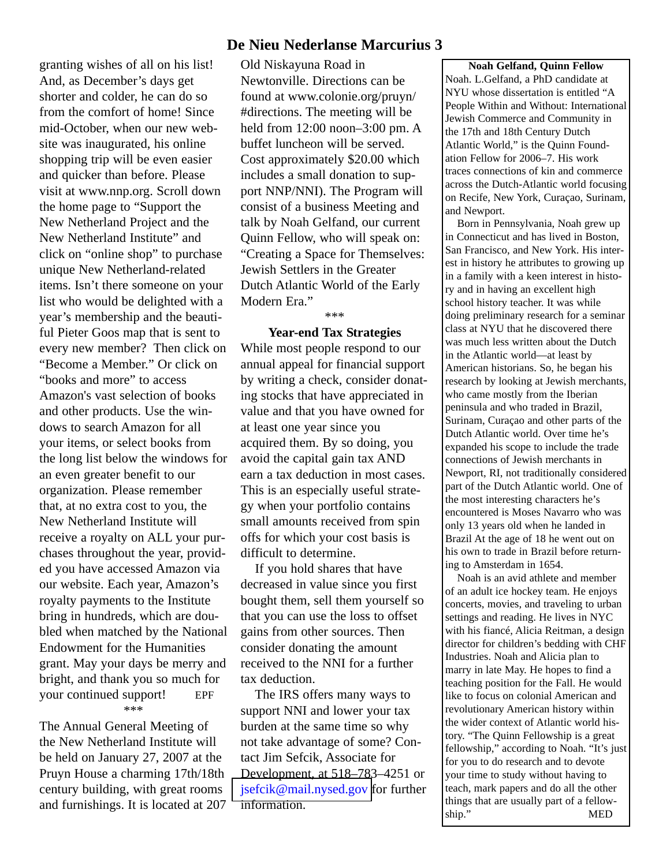granting wishes of all on his list! And, as December's days get shorter and colder, he can do so from the comfort of home! Since mid-October, when our new website was inaugurated, his online shopping trip will be even easier and quicker than before. Please visit at www.nnp.org. Scroll down the home page to "Support the New Netherland Project and the New Netherland Institute" and click on "online shop" to purchase unique New Netherland-related items. Isn't there someone on your list who would be delighted with a year's membership and the beautiful Pieter Goos map that is sent to every new member? Then click on "Become a Member." Or click on "books and more" to access Amazon's vast selection of books and other products. Use the windows to search Amazon for all your items, or select books from the long list below the windows for an even greater benefit to our organization. Please remember that, at no extra cost to you, the New Netherland Institute will receive a royalty on ALL your purchases throughout the year, provided you have accessed Amazon via our website. Each year, Amazon's royalty payments to the Institute bring in hundreds, which are doubled when matched by the National Endowment for the Humanities grant. May your days be merry and bright, and thank you so much for your continued support! EPF \*\*\*

The Annual General Meeting of the New Netherland Institute will be held on January 27, 2007 at the Pruyn House a charming 17th/18th century building, with great rooms and furnishings. It is located at 207

## **De Nieu Nederlanse Marcurius 3**

Old Niskayuna Road in Newtonville. Directions can be found at www.colonie.org/pruyn/ #directions. The meeting will be held from 12:00 noon–3:00 pm. A buffet luncheon will be served. Cost approximately \$20.00 which includes a small donation to support NNP/NNI). The Program will consist of a business Meeting and talk by Noah Gelfand, our current Quinn Fellow, who will speak on: "Creating a Space for Themselves: Jewish Settlers in the Greater Dutch Atlantic World of the Early Modern Era."

\*\*\*

**Year-end Tax Strategies** While most people respond to our annual appeal for financial support by writing a check, consider donating stocks that have appreciated in value and that you have owned for at least one year since you acquired them. By so doing, you avoid the capital gain tax AND earn a tax deduction in most cases. This is an especially useful strategy when your portfolio contains small amounts received from spin offs for which your cost basis is difficult to determine.

If you hold shares that have decreased in value since you first bought them, sell them yourself so that you can use the loss to offset gains from other sources. Then consider donating the amount received to the NNI for a further tax deduction.

The IRS offers many ways to support NNI and lower your tax burden at the same time so why not take advantage of some? Contact Jim Sefcik, Associate for Development, at 518–783–4251 or [jsefcik@mail.nysed.gov f](mailto:jsefcik@mail.nysed.gov)or further information.

**Noah Gelfand, Quinn Fellow** Noah. L.Gelfand, a PhD candidate at NYU whose dissertation is entitled "A People Within and Without: International Jewish Commerce and Community in the 17th and 18th Century Dutch Atlantic World," is the Quinn Foundation Fellow for 2006–7. His work traces connections of kin and commerce across the Dutch-Atlantic world focusing on Recife, New York, Curaçao, Surinam, and Newport.

Born in Pennsylvania, Noah grew up in Connecticut and has lived in Boston, San Francisco, and New York. His interest in history he attributes to growing up in a family with a keen interest in history and in having an excellent high school history teacher. It was while doing preliminary research for a seminar class at NYU that he discovered there was much less written about the Dutch in the Atlantic world—at least by American historians. So, he began his research by looking at Jewish merchants, who came mostly from the Iberian peninsula and who traded in Brazil, Surinam, Curaçao and other parts of the Dutch Atlantic world. Over time he's expanded his scope to include the trade connections of Jewish merchants in Newport, RI, not traditionally considered part of the Dutch Atlantic world. One of the most interesting characters he's encountered is Moses Navarro who was only 13 years old when he landed in Brazil At the age of 18 he went out on his own to trade in Brazil before returning to Amsterdam in 1654.

Noah is an avid athlete and member of an adult ice hockey team. He enjoys concerts, movies, and traveling to urban settings and reading. He lives in NYC with his fiancé, Alicia Reitman, a design director for children's bedding with CHF Industries. Noah and Alicia plan to marry in late May. He hopes to find a teaching position for the Fall. He would like to focus on colonial American and revolutionary American history within the wider context of Atlantic world history. "The Quinn Fellowship is a great fellowship," according to Noah. "It's just for you to do research and to devote your time to study without having to teach, mark papers and do all the other things that are usually part of a fellowship." MED